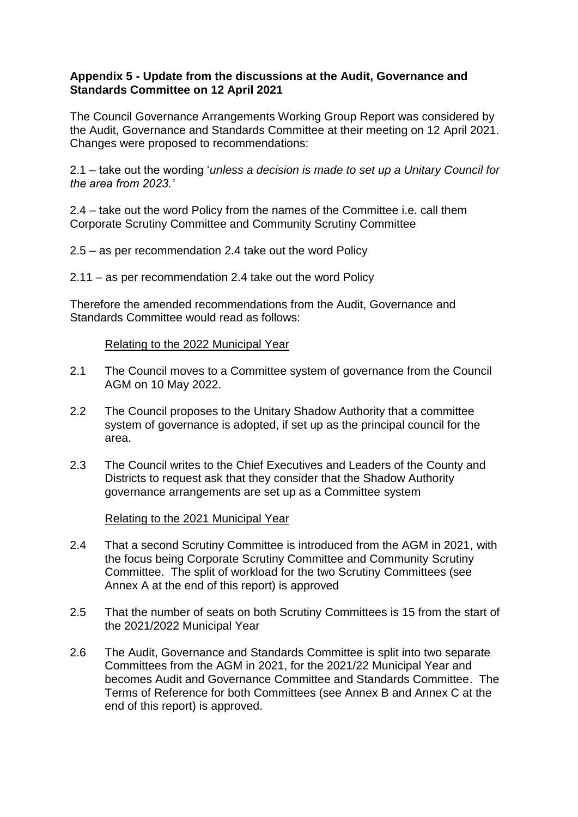## **Appendix 5 - Update from the discussions at the Audit, Governance and Standards Committee on 12 April 2021**

The Council Governance Arrangements Working Group Report was considered by the Audit, Governance and Standards Committee at their meeting on 12 April 2021. Changes were proposed to recommendations:

2.1 – take out the wording '*unless a decision is made to set up a Unitary Council for the area from 2023.'*

2.4 – take out the word Policy from the names of the Committee i.e. call them Corporate Scrutiny Committee and Community Scrutiny Committee

2.5 – as per recommendation 2.4 take out the word Policy

2.11 – as per recommendation 2.4 take out the word Policy

Therefore the amended recommendations from the Audit, Governance and Standards Committee would read as follows:

## Relating to the 2022 Municipal Year

- 2.1 The Council moves to a Committee system of governance from the Council AGM on 10 May 2022.
- 2.2 The Council proposes to the Unitary Shadow Authority that a committee system of governance is adopted, if set up as the principal council for the area.
- 2.3 The Council writes to the Chief Executives and Leaders of the County and Districts to request ask that they consider that the Shadow Authority governance arrangements are set up as a Committee system

Relating to the 2021 Municipal Year

- 2.4 That a second Scrutiny Committee is introduced from the AGM in 2021, with the focus being Corporate Scrutiny Committee and Community Scrutiny Committee. The split of workload for the two Scrutiny Committees (see Annex A at the end of this report) is approved
- 2.5 That the number of seats on both Scrutiny Committees is 15 from the start of the 2021/2022 Municipal Year
- 2.6 The Audit, Governance and Standards Committee is split into two separate Committees from the AGM in 2021, for the 2021/22 Municipal Year and becomes Audit and Governance Committee and Standards Committee. The Terms of Reference for both Committees (see Annex B and Annex C at the end of this report) is approved.